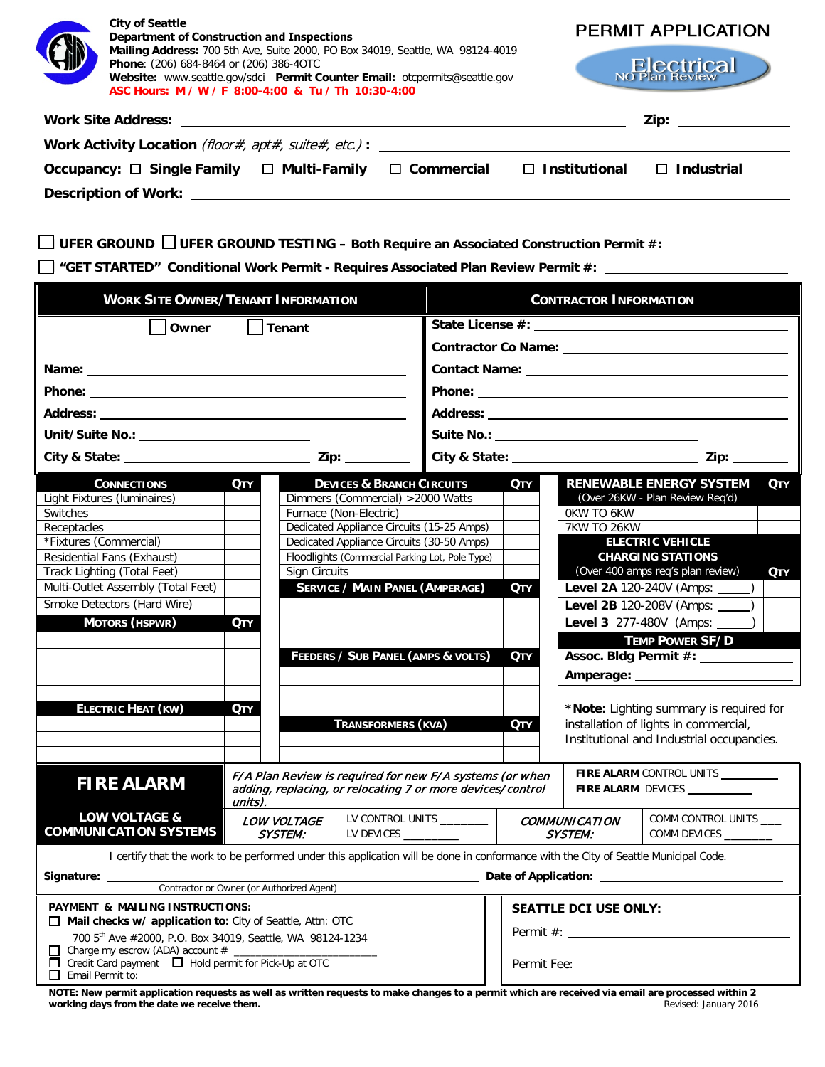| <b>City of Seattle</b><br>Department of Construction and Inspections<br>Mailing Address: 700 5th Ave, Suite 2000, PO Box 34019, Seattle, WA 98124-4019<br>Phone: (206) 684-8464 or (206) 386-40TC<br>Website: www.seattle.gov/sdci  Permit Counter Email: otcpermits@seattle.gov<br>ASC Hours: M / W / F 8:00-4:00 & Tu / Th 10:30-4:00<br>Work Activity Location (floor#, apt#, suite#, etc.): $\blacksquare$ |                                                                     |  |                                             | <b>PERMIT APPLICATION</b><br><b>Electrical</b><br>Zip: the contract of the contract of the contract of the contract of the contract of the contract of the contract of the contract of the contract of the contract of the contract of the contract of the contract of the contr |            |  |  |  |  |
|----------------------------------------------------------------------------------------------------------------------------------------------------------------------------------------------------------------------------------------------------------------------------------------------------------------------------------------------------------------------------------------------------------------|---------------------------------------------------------------------|--|---------------------------------------------|----------------------------------------------------------------------------------------------------------------------------------------------------------------------------------------------------------------------------------------------------------------------------------|------------|--|--|--|--|
| Occupancy: □ Single Family □ Multi-Family □ Commercial □ Institutional □ Industrial                                                                                                                                                                                                                                                                                                                            |                                                                     |  |                                             |                                                                                                                                                                                                                                                                                  |            |  |  |  |  |
|                                                                                                                                                                                                                                                                                                                                                                                                                |                                                                     |  |                                             |                                                                                                                                                                                                                                                                                  |            |  |  |  |  |
| $\Box$ UFER GROUND $\Box$ UFER GROUND TESTING – Both Require an Associated Construction Permit #: _______________<br><b>WORK SITE OWNER/TENANT INFORMATION</b>                                                                                                                                                                                                                                                 |                                                                     |  | <b>CONTRACTOR INFORMATION</b>               |                                                                                                                                                                                                                                                                                  |            |  |  |  |  |
|                                                                                                                                                                                                                                                                                                                                                                                                                |                                                                     |  |                                             |                                                                                                                                                                                                                                                                                  |            |  |  |  |  |
| <b>Owner</b>                                                                                                                                                                                                                                                                                                                                                                                                   | $\bigsqcup$ Tenant                                                  |  |                                             |                                                                                                                                                                                                                                                                                  |            |  |  |  |  |
|                                                                                                                                                                                                                                                                                                                                                                                                                |                                                                     |  |                                             |                                                                                                                                                                                                                                                                                  |            |  |  |  |  |
|                                                                                                                                                                                                                                                                                                                                                                                                                |                                                                     |  |                                             |                                                                                                                                                                                                                                                                                  |            |  |  |  |  |
|                                                                                                                                                                                                                                                                                                                                                                                                                |                                                                     |  |                                             |                                                                                                                                                                                                                                                                                  |            |  |  |  |  |
|                                                                                                                                                                                                                                                                                                                                                                                                                |                                                                     |  |                                             |                                                                                                                                                                                                                                                                                  |            |  |  |  |  |
|                                                                                                                                                                                                                                                                                                                                                                                                                |                                                                     |  |                                             |                                                                                                                                                                                                                                                                                  |            |  |  |  |  |
|                                                                                                                                                                                                                                                                                                                                                                                                                |                                                                     |  |                                             |                                                                                                                                                                                                                                                                                  |            |  |  |  |  |
| Unit/Suite No.: ________________________                                                                                                                                                                                                                                                                                                                                                                       |                                                                     |  | Suite No.: ________________________________ |                                                                                                                                                                                                                                                                                  |            |  |  |  |  |
|                                                                                                                                                                                                                                                                                                                                                                                                                |                                                                     |  |                                             |                                                                                                                                                                                                                                                                                  |            |  |  |  |  |
| <b>CONNECTIONS</b><br><b>QTY</b>                                                                                                                                                                                                                                                                                                                                                                               | <b>DEVICES &amp; BRANCH CIRCUITS</b>                                |  | Отү                                         | <b>RENEWABLE ENERGY SYSTEM</b>                                                                                                                                                                                                                                                   | <b>QTY</b> |  |  |  |  |
| Light Fixtures (luminaires)                                                                                                                                                                                                                                                                                                                                                                                    | Dimmers (Commercial) > 2000 Watts                                   |  |                                             | (Over 26KW - Plan Review Reg'd)                                                                                                                                                                                                                                                  |            |  |  |  |  |
| Switches<br>Receptacles                                                                                                                                                                                                                                                                                                                                                                                        | Furnace (Non-Electric)<br>Dedicated Appliance Circuits (15-25 Amps) |  | OKW TO 6KW<br>7KW TO 26KW                   |                                                                                                                                                                                                                                                                                  |            |  |  |  |  |
| *Fixtures (Commercial)                                                                                                                                                                                                                                                                                                                                                                                         | Dedicated Appliance Circuits (30-50 Amps)                           |  |                                             | <b>ELECTRIC VEHICLE</b>                                                                                                                                                                                                                                                          |            |  |  |  |  |
| Residential Fans (Exhaust)                                                                                                                                                                                                                                                                                                                                                                                     | Floodlights (Commercial Parking Lot, Pole Type)                     |  |                                             | <b>CHARGING STATIONS</b>                                                                                                                                                                                                                                                         |            |  |  |  |  |
| Track Lighting (Total Feet)                                                                                                                                                                                                                                                                                                                                                                                    | Sign Circuits                                                       |  |                                             | (Over 400 amps req's plan review)                                                                                                                                                                                                                                                | Отү        |  |  |  |  |
| Multi-Outlet Assembly (Total Feet)                                                                                                                                                                                                                                                                                                                                                                             | <b>SERVICE / MAIN PANEL (AMPERAGE)</b>                              |  | <b>QTY</b>                                  | Level 2A 120-240V (Amps: _                                                                                                                                                                                                                                                       |            |  |  |  |  |
| Smoke Detectors (Hard Wire)                                                                                                                                                                                                                                                                                                                                                                                    |                                                                     |  |                                             | Level 2B 120-208V (Amps: _                                                                                                                                                                                                                                                       |            |  |  |  |  |
| <b>MOTORS (HSPWR)</b><br><b>QTY</b>                                                                                                                                                                                                                                                                                                                                                                            |                                                                     |  |                                             | Level 3 277-480V (Amps:                                                                                                                                                                                                                                                          |            |  |  |  |  |
|                                                                                                                                                                                                                                                                                                                                                                                                                |                                                                     |  |                                             | <b>TEMP POWER SF/D</b>                                                                                                                                                                                                                                                           |            |  |  |  |  |
|                                                                                                                                                                                                                                                                                                                                                                                                                | FEEDERS / SUB PANEL (AMPS & VOLTS)                                  |  | <b>QTY</b>                                  | Assoc. Bldg Permit #:                                                                                                                                                                                                                                                            |            |  |  |  |  |
|                                                                                                                                                                                                                                                                                                                                                                                                                |                                                                     |  | Amperage: _____                             |                                                                                                                                                                                                                                                                                  |            |  |  |  |  |

| <b>FIRE ALARM</b>                                                                                                                   | F/A Plan Review is required for new F/A systems (or when<br>adding, replacing, or relocating 7 or more devices/control<br>units). |  |                               |                                                      |  | <b>FIRE ALARM CONTROL UNITS</b><br><b>FIRE ALARM DEVICES</b> |                                        |                                    |
|-------------------------------------------------------------------------------------------------------------------------------------|-----------------------------------------------------------------------------------------------------------------------------------|--|-------------------------------|------------------------------------------------------|--|--------------------------------------------------------------|----------------------------------------|------------------------------------|
| <b>LOW VOLTAGE &amp;</b><br><b>COMMUNICATION SYSTEMS</b>                                                                            |                                                                                                                                   |  | LOW VOLTAGE<br><i>SYSTEM:</i> | LV CONTROL UNITS <b>LEADER SECTION</b><br>LV DEVICES |  |                                                              | <b>COMMUNICATION</b><br><i>SYSTEM:</i> | COMM CONTROL UNITS<br>COMM DEVICES |
| I certify that the work to be performed under this application will be done in conformance with the City of Seattle Municipal Code. |                                                                                                                                   |  |                               |                                                      |  |                                                              |                                        |                                    |

| r cormy mar me work to be performed under mis application will be done in comormance with the ony or seatue municipal coucl |                                                                                                                                                                                                                               |  |  |  |  |  |
|-----------------------------------------------------------------------------------------------------------------------------|-------------------------------------------------------------------------------------------------------------------------------------------------------------------------------------------------------------------------------|--|--|--|--|--|
| Signature:                                                                                                                  | Date of Application: The Contract of Application:                                                                                                                                                                             |  |  |  |  |  |
| Contractor or Owner (or Authorized Agent)                                                                                   |                                                                                                                                                                                                                               |  |  |  |  |  |
| <b>PAYMENT &amp; MAILING INSTRUCTIONS:</b>                                                                                  | <b>SEATTLE DCI USE ONLY:</b>                                                                                                                                                                                                  |  |  |  |  |  |
| $\Box$ Mail checks w/ application to: City of Seattle, Attn: OTC                                                            |                                                                                                                                                                                                                               |  |  |  |  |  |
| 700 5th Ave #2000, P.O. Box 34019, Seattle, WA 98124-1234                                                                   |                                                                                                                                                                                                                               |  |  |  |  |  |
|                                                                                                                             |                                                                                                                                                                                                                               |  |  |  |  |  |
| $\Box$ Credit Card payment $\Box$ Hold permit for Pick-Up at OTC<br>$\Box$ Email Permit to:                                 | Permit Fee: The control of the control of the control of the control of the control of the control of the control of the control of the control of the control of the control of the control of the control of the control of |  |  |  |  |  |
|                                                                                                                             |                                                                                                                                                                                                                               |  |  |  |  |  |

**NOTE: New permit application requests as well as written requests to make changes to a permit which are received via email are processed within 2 working days from the date we receive them.** And the matter of the state of the state of the state of the state of the state of the state of the state of the state of the state of the state of the state of the state of th